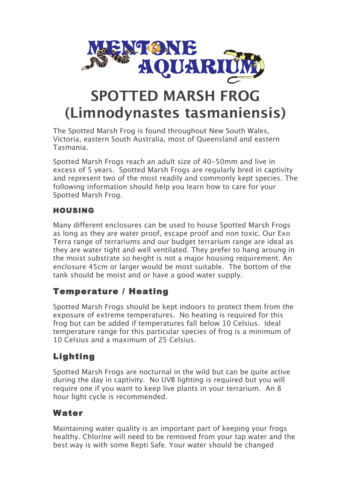

# **SPOTTED MARSH FROG (Limnodynastes tasmaniensis)**

The Spotted Marsh Frog is found throughout New South Wales, Victoria, eastern South Australia, most of Queensland and eastern Tasmania.

Spotted Marsh Frogs reach an adult size of 40-50mm and live in excess of 5 years. Spotted Marsh Frogs are regularly bred in captivity and represent two of the most readily and commonly kept species. The following information should help you learn how to care for your Spotted Marsh Frog.

#### HOUSING

Many different enclosures can be used to house Spotted Marsh Frogs as long as they are water proof, escape proof and non toxic. Our Exo Terra range of terrariums and our budget terrarium range are ideal as they are water tight and well ventilated. They prefer to hang aroung in the moist substrate so height is not a major housing requirement. An enclosure 45cm or larger would be most suitable. The bottom of the tank should be moist and or have a good water supply.

## Temperature / Heating

Spotted Marsh Frogs should be kept indoors to protect them from the exposure of extreme temperatures. No heating is required for this frog but can be added if temperatures fall below 10 Celsius. Ideal temperature range for this particular species of frog is a minimum of 10 Celsius and a maximum of 25 Celsius.

## Lighting

Spotted Marsh Frogs are nocturnal in the wild but can be quite active during the day in captivity. No UVB lighting is required but you will require one if you want to keep live plants in your terrarium. An 8 hour light cycle is recommended.

### Water

Maintaining water quality is an important part of keeping your frogs healthy. Chlorine will need to be removed from your tap water and the best way is with some Repti Safe. Your water should be changed